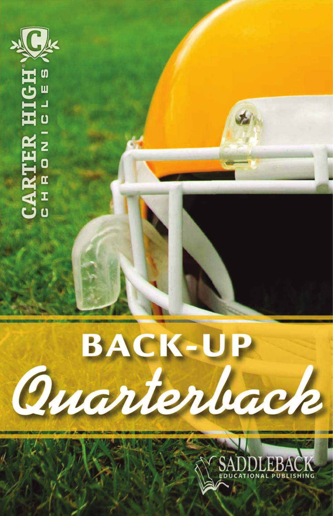

CARTER

z Ö

 $\mathbf{a}$  $\mathbf{I}$  $\overline{a}$ 

**BACK-UP** Ouarterback

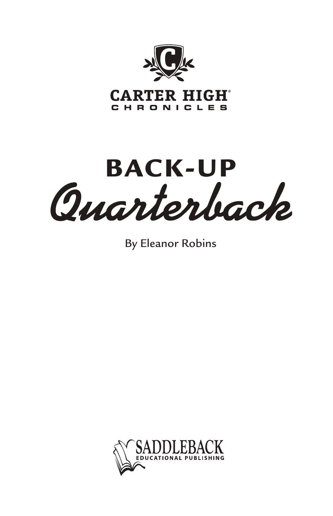

BACK-UP<br>Quarterback

By Eleanor Robins

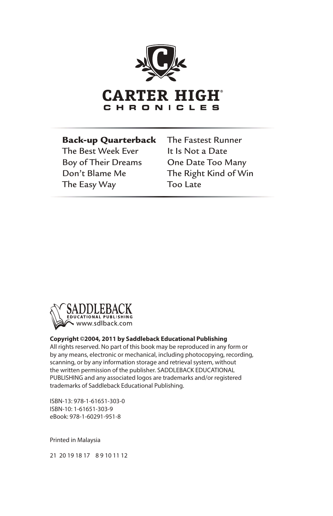

## Back-up Quarterback

The Best Week Ever Boy of Their Dreams Don't Blame Me The Easy Way

The Fastest Runner It Is Not a Date One Date Too Many The Right Kind of Win Too Late



## **Copyright ©2004, 2011 by Saddleback Educational Publishing**

All rights reserved. No part of this book may be reproduced in any form or by any means, electronic or mechanical, including photocopying, recording, scanning, or by any information storage and retrieval system, without the written permission of the publisher. SADDLEBACK EDUCATIONAL PUBLISHING and any associated logos are trademarks and/or registered trademarks of Saddleback Educational Publishing.

ISBN-13: 978-1-61651-303-0 ISBN-10: 1-61651-303-9 eBook: 978-1-60291-951-8

Printed in Malaysia

21 20 19 18 17 8 9 10 11 12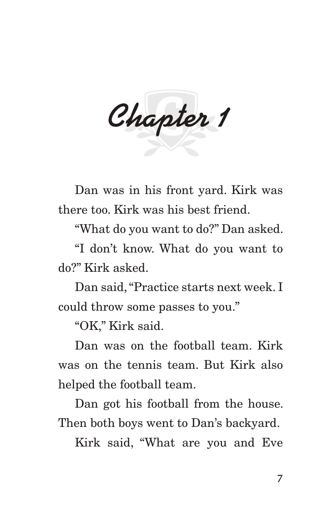*Chapter 1*

Dan was in his front yard. Kirk was there too. Kirk was his best friend.

"What do you want to do?" Dan asked.

"I don't know. What do you want to do?" Kirk asked.

Dan said, "Practice starts next week. I could throw some passes to you."

"OK," Kirk said.

Dan was on the football team. Kirk was on the tennis team. But Kirk also helped the football team.

Dan got his football from the house. Then both boys went to Dan's backyard.

Kirk said, "What are you and Eve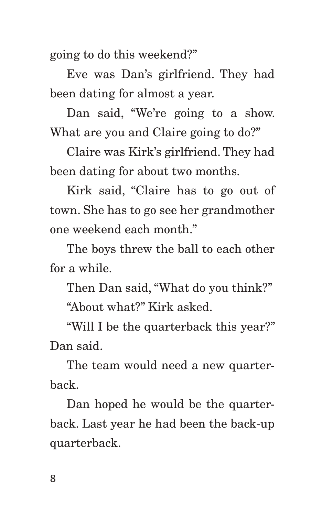going to do this weekend?"

Eve was Dan's girlfriend. They had been dating for almost a year.

Dan said, "We're going to a show. What are you and Claire going to do?"

Claire was Kirk's girlfriend. They had been dating for about two months.

Kirk said, "Claire has to go out of town. She has to go see her grandmother one weekend each month."

The boys threw the ball to each other for a while.

Then Dan said, "What do you think?"

"About what?" Kirk asked.

"Will I be the quarterback this year?" Dan said.

The team would need a new quarterback.

Dan hoped he would be the quarterback. Last year he had been the back-up quarterback.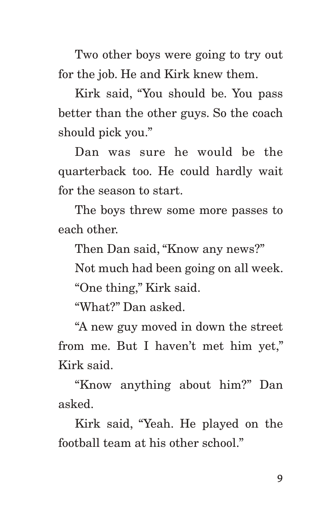Two other boys were going to try out for the job. He and Kirk knew them.

Kirk said, "You should be. You pass better than the other guys. So the coach should pick you."

Dan was sure he would be the quarterback too. He could hardly wait for the season to start.

The boys threw some more passes to each other.

Then Dan said, "Know any news?"

Not much had been going on all week.

"One thing," Kirk said.

"What?" Dan asked.

"A new guy moved in down the street from me. But I haven't met him yet," Kirk said.

"Know anything about him?" Dan asked.

Kirk said, "Yeah. He played on the football team at his other school."